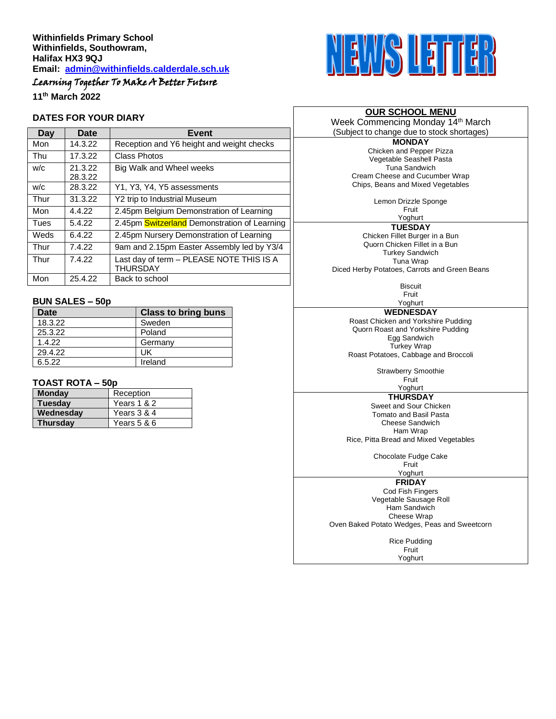# Learning Together To Make A Better Future

**11th March 2022**

## **DATES FOR YOUR DIARY**

| Day  | Date               | Event                                                       |
|------|--------------------|-------------------------------------------------------------|
| Mon  | 14.3.22            | Reception and Y6 height and weight checks                   |
| Thu  | 17.3.22            | Class Photos                                                |
| W/C  | 21.3.22<br>28.3.22 | Big Walk and Wheel weeks                                    |
| W/C  | 28.3.22            | Y1, Y3, Y4, Y5 assessments                                  |
| Thur | 31.3.22            | Y2 trip to Industrial Museum                                |
| Mon  | 4.4.22             | 2.45pm Belgium Demonstration of Learning                    |
| Tues | 5.4.22             | 2.45pm Switzerland Demonstration of Learning                |
| Weds | 6.4.22             | 2.45pm Nursery Demonstration of Learning                    |
| Thur | 7.4.22             | 9am and 2.15pm Easter Assembly led by Y3/4                  |
| Thur | 7.4.22             | Last day of term - PLEASE NOTE THIS IS A<br><b>THURSDAY</b> |
| Mon  | 25.4.22            | Back to school                                              |

# **BUN SALES – 50p**

| Date    | <b>Class to bring buns</b> |
|---------|----------------------------|
| 18.3.22 | Sweden                     |
| 25.3.22 | Poland                     |
| 1.4.22  | Germany                    |
| 29.4.22 | UK                         |
| 6.5.22  | Ireland                    |

# **TOAST ROTA – 50p**

| <b>Monday</b>   | Reception   |
|-----------------|-------------|
| <b>Tuesday</b>  | Years 1 & 2 |
| Wednesday       | Years 3 & 4 |
| <b>Thursday</b> | Years 5 & 6 |



## **OUR SCHOOL MENU**

Week Commencing Monday 14<sup>th</sup> March (Subject to change due to stock shortages)

> **MONDAY** Chicken and Pepper Pizza Vegetable Seashell Pasta Tuna Sandwich Cream Cheese and Cucumber Wrap Chips, Beans and Mixed Vegetables

> > Lemon Drizzle Sponge

Fruit Yoghurt **TUESDAY** Chicken Fillet Burger in a Bun Quorn Chicken Fillet in a Bun Turkey Sandwich Tuna Wrap

Diced Herby Potatoes, Carrots and Green Beans

**Biscuit** Fruit

Yoghurt **WEDNESDAY** Roast Chicken and Yorkshire Pudding Quorn Roast and Yorkshire Pudding Egg Sandwich Turkey Wrap Roast Potatoes, Cabbage and Broccoli

> Strawberry Smoothie Fruit

Yoghurt **THURSDAY**

Sweet and Sour Chicken Tomato and Basil Pasta Cheese Sandwich Ham Wrap Rice, Pitta Bread and Mixed Vegetables

Chocolate Fudge Cake Fruit

Yoghurt

**FRIDAY**

Cod Fish Fingers Vegetable Sausage Roll Ham Sandwich Cheese Wrap Oven Baked Potato Wedges, Peas and Sweetcorn

> Rice Pudding Fruit Yoghurt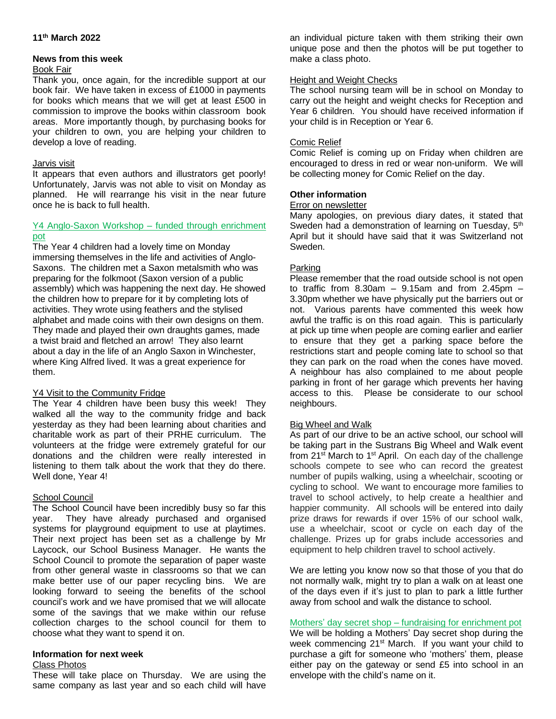## **11th March 2022**

### **News from this week**

#### Book Fair

Thank you, once again, for the incredible support at our book fair. We have taken in excess of £1000 in payments for books which means that we will get at least £500 in commission to improve the books within classroom book areas. More importantly though, by purchasing books for your children to own, you are helping your children to develop a love of reading.

## Jarvis visit

It appears that even authors and illustrators get poorly! Unfortunately, Jarvis was not able to visit on Monday as planned. He will rearrange his visit in the near future once he is back to full health.

# Y4 Anglo-Saxon Workshop – funded through enrichment pot

The Year 4 children had a lovely time on Monday immersing themselves in the life and activities of Anglo-Saxons. The children met a Saxon metalsmith who was preparing for the folkmoot (Saxon version of a public assembly) which was happening the next day. He showed the children how to prepare for it by completing lots of activities. They wrote using feathers and the stylised alphabet and made coins with their own designs on them. They made and played their own draughts games, made a twist braid and fletched an arrow! They also learnt about a day in the life of an Anglo Saxon in Winchester, where King Alfred lived. It was a great experience for them.

# Y4 Visit to the Community Fridge

The Year 4 children have been busy this week! They walked all the way to the community fridge and back yesterday as they had been learning about charities and charitable work as part of their PRHE curriculum. The volunteers at the fridge were extremely grateful for our donations and the children were really interested in listening to them talk about the work that they do there. Well done, Year 4!

## School Council

The School Council have been incredibly busy so far this year. They have already purchased and organised systems for playground equipment to use at playtimes. Their next project has been set as a challenge by Mr Laycock, our School Business Manager. He wants the School Council to promote the separation of paper waste from other general waste in classrooms so that we can make better use of our paper recycling bins. We are looking forward to seeing the benefits of the school council's work and we have promised that we will allocate some of the savings that we make within our refuse collection charges to the school council for them to choose what they want to spend it on.

#### **Information for next week**

## Class Photos

These will take place on Thursday. We are using the same company as last year and so each child will have

an individual picture taken with them striking their own unique pose and then the photos will be put together to make a class photo.

# Height and Weight Checks

The school nursing team will be in school on Monday to carry out the height and weight checks for Reception and Year 6 children. You should have received information if your child is in Reception or Year 6.

## Comic Relief

Comic Relief is coming up on Friday when children are encouraged to dress in red or wear non-uniform. We will be collecting money for Comic Relief on the day.

## **Other information**

#### Error on newsletter

Many apologies, on previous diary dates, it stated that Sweden had a demonstration of learning on Tuesday, 5<sup>th</sup> April but it should have said that it was Switzerland not Sweden.

## Parking

Please remember that the road outside school is not open to traffic from  $8.30am - 9.15am$  and from  $2.45pm -$ 3.30pm whether we have physically put the barriers out or not. Various parents have commented this week how awful the traffic is on this road again. This is particularly at pick up time when people are coming earlier and earlier to ensure that they get a parking space before the restrictions start and people coming late to school so that they can park on the road when the cones have moved. A neighbour has also complained to me about people parking in front of her garage which prevents her having access to this. Please be considerate to our school neighbours.

## Big Wheel and Walk

As part of our drive to be an active school, our school will be taking part in the Sustrans Big Wheel and Walk event from  $21^{st}$  March to  $1^{st}$  April. On each day of the challenge schools compete to see who can record the greatest number of pupils walking, using a wheelchair, scooting or cycling to school. We want to encourage more families to travel to school actively, to help create a healthier and happier community. All schools will be entered into daily prize draws for rewards if over 15% of our school walk, use a wheelchair, scoot or cycle on each day of the challenge. Prizes up for grabs include accessories and equipment to help children travel to school actively.

We are letting you know now so that those of you that do not normally walk, might try to plan a walk on at least one of the days even if it's just to plan to park a little further away from school and walk the distance to school.

## Mothers' day secret shop – fundraising for enrichment pot

We will be holding a Mothers' Day secret shop during the week commencing 21<sup>st</sup> March. If you want your child to purchase a gift for someone who 'mothers' them, please either pay on the gateway or send £5 into school in an envelope with the child's name on it.